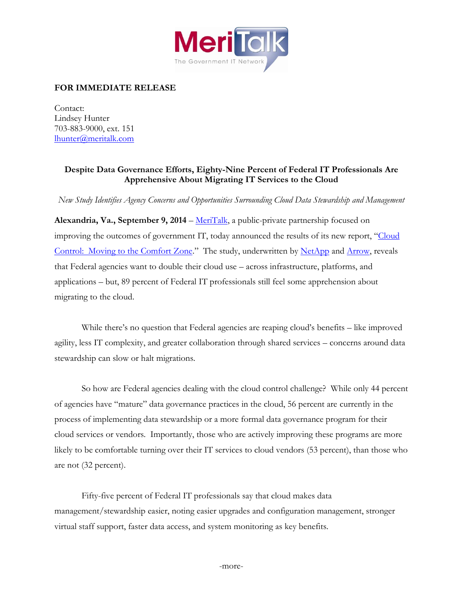

## **FOR IMMEDIATE RELEASE**

Contact: Lindsey Hunter 703-883-9000, ext. 151 [lhunter@meritalk.com](mailto:lhunter@meritalk.com)

## **Despite Data Governance Efforts, Eighty-Nine Percent of Federal IT Professionals Are Apprehensive About Migrating IT Services to the Cloud**

*New Study Identifies Agency Concerns and Opportunities Surrounding Cloud Data Stewardship and Management*

Alexandria, Va., September 9, 2014 – [MeriTalk,](http://www.meritalk.com/) a public-private partnership focused on improving the outcomes of government IT, today announced the results of its new report, "Cloud [Control: Moving to the Comfort Zone](http://www.meritalk.com/cloudcontrol)." The study, underwritten by [NetApp](http://www.netapp.com/us/) and [Arrow,](http://www.arrow.com/) reveals that Federal agencies want to double their cloud use – across infrastructure, platforms, and applications – but, 89 percent of Federal IT professionals still feel some apprehension about migrating to the cloud.

While there's no question that Federal agencies are reaping cloud's benefits – like improved agility, less IT complexity, and greater collaboration through shared services – concerns around data stewardship can slow or halt migrations.

So how are Federal agencies dealing with the cloud control challenge? While only 44 percent of agencies have "mature" data governance practices in the cloud, 56 percent are currently in the process of implementing data stewardship or a more formal data governance program for their cloud services or vendors. Importantly, those who are actively improving these programs are more likely to be comfortable turning over their IT services to cloud vendors (53 percent), than those who are not (32 percent).

Fifty-five percent of Federal IT professionals say that cloud makes data management/stewardship easier, noting easier upgrades and configuration management, stronger virtual staff support, faster data access, and system monitoring as key benefits.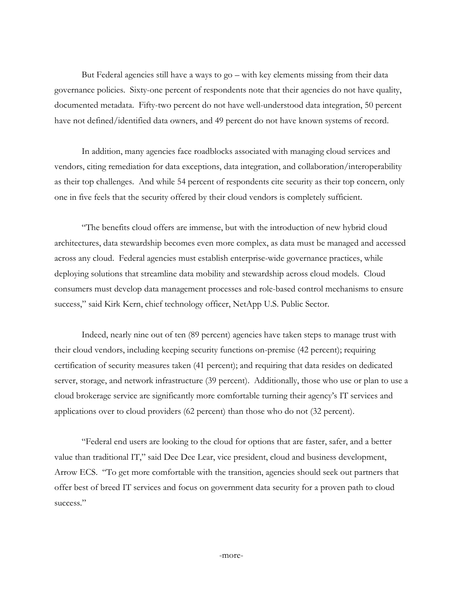But Federal agencies still have a ways to go – with key elements missing from their data governance policies. Sixty-one percent of respondents note that their agencies do not have quality, documented metadata. Fifty-two percent do not have well-understood data integration, 50 percent have not defined/identified data owners, and 49 percent do not have known systems of record.

In addition, many agencies face roadblocks associated with managing cloud services and vendors, citing remediation for data exceptions, data integration, and collaboration/interoperability as their top challenges. And while 54 percent of respondents cite security as their top concern, only one in five feels that the security offered by their cloud vendors is completely sufficient.

"The benefits cloud offers are immense, but with the introduction of new hybrid cloud architectures, data stewardship becomes even more complex, as data must be managed and accessed across any cloud. Federal agencies must establish enterprise-wide governance practices, while deploying solutions that streamline data mobility and stewardship across cloud models. Cloud consumers must develop data management processes and role-based control mechanisms to ensure success," said Kirk Kern, chief technology officer, NetApp U.S. Public Sector.

Indeed, nearly nine out of ten (89 percent) agencies have taken steps to manage trust with their cloud vendors, including keeping security functions on-premise (42 percent); requiring certification of security measures taken (41 percent); and requiring that data resides on dedicated server, storage, and network infrastructure (39 percent). Additionally, those who use or plan to use a cloud brokerage service are significantly more comfortable turning their agency's IT services and applications over to cloud providers (62 percent) than those who do not (32 percent).

"Federal end users are looking to the cloud for options that are faster, safer, and a better value than traditional IT," said Dee Dee Lear, vice president, cloud and business development, Arrow ECS. "To get more comfortable with the transition, agencies should seek out partners that offer best of breed IT services and focus on government data security for a proven path to cloud success."